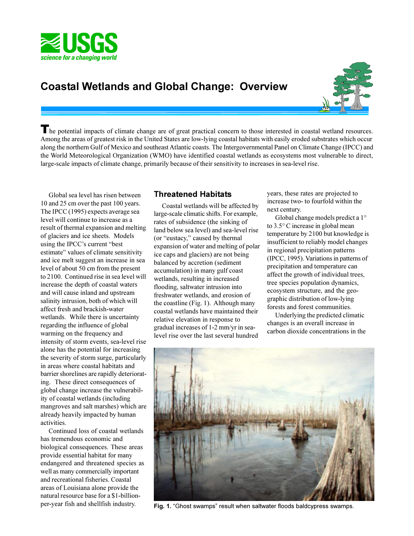

# **Coastal Wetlands and Global Change: Overview**



The potential impacts of climate change are of great practical concern to those interested in coastal wetland resources. Among the areas of greatest risk in the United States are low-lying coastal habitats with easily eroded substrates which occur along the northern Gulf of Mexico and southeast Atlantic coasts. The Intergovernmental Panel on Climate Change (IPCC) and the World Meteorological Organization (WMO) have identified coastal wetlands as ecosystems most vulnerable to direct, large-scale impacts of climate change, primarily because of their sensitivity to increases in sea-level rise.

Global sea level has risen between 10 and 25 cm over the past 100 years. The IPCC (1995) expects average sea level will continue to increase as a result of thermal expansion and melting of glaciers and ice sheets. Models using the IPCC's current "best" estimate" values of climate sensitivity and ice melt suggest an increase in sea level of about 50 cm from the present to 2100. Continued rise in sea level will increase the depth of coastal waters and will cause inland and upstream salinity intrusion, both of which will affect fresh and brackish-water wetlands. While there is uncertainty regarding the influence of global warming on the frequency and intensity of storm events, sea-level rise alone has the potential for increasing the severity of storm surge, particularly in areas where coastal habitats and barrier shorelines are rapidly deteriorating. These direct consequences of global change increase the vulnerability of coastal wetlands (including mangroves and salt marshes) which are already heavily impacted by human activities.

Continued loss of coastal wetlands has tremendous economic and biological consequences. These areas provide essential habitat for many endangered and threatened species as well as many commercially important and recreational fisheries. Coastal areas of Louisiana alone provide the natural resource base for a \$1-billionper-year fish and shellfish industry.

### **Threatened Habitats**

Coastal wetlands will be affected by large-scale climatic shifts. For example, rates of subsidence (the sinking of land below sea level) and sea-level rise (or "eustacy," caused by thermal expansion of water and melting of polar ice caps and glaciers) are not being balanced by accretion (sediment accumulation) in many gulf coast wetlands, resulting in increased flooding, saltwater intrusion into freshwater wetlands, and erosion of the coastline (Fig. 1). Although many coastal wetlands have maintained their relative elevation in response to gradual increases of 1-2 mm/yr in sealevel rise over the last several hundred

years, these rates are projected to increase two- to fourfold within the next century.

Global change models predict a 1° to 3.5° C increase in global mean temperature by 2100 but knowledge is insufficient to reliably model changes in regional precipitation patterns (IPCC, 1995). Variations in patterns of precipitation and temperature can affect the growth of individual trees, tree species population dynamics, ecosystem structure, and the geographic distribution of low-lying forests and forest communities.

Underlying the predicted climatic changes is an overall increase in carbon dioxide concentrations in the



Fig. 1. "Ghost swamps" result when saltwater floods baldcypress swamps.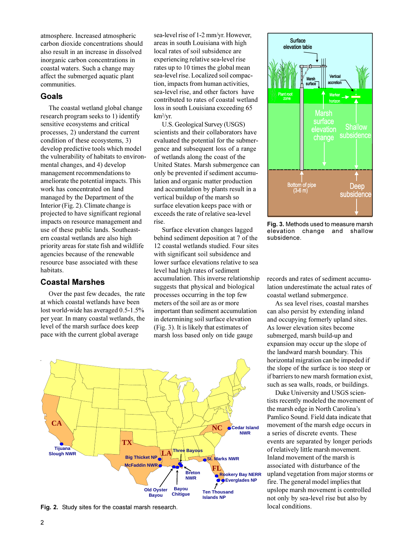atmosphere. Increased atmospheric carbon dioxide concentrations should also result in an increase in dissolved inorganic carbon concentrations in coastal waters. Such a change may affect the submerged aquatic plant communities.

### **Goals**

The coastal wetland global change research program seeks to 1) identify sensitive ecosystems and critical processes, 2) understand the current condition of these ecosystems, 3) develop predictive tools which model the vulnerability of habitats to environmental changes, and 4) develop management recommendations to ameliorate the potential impacts. This work has concentrated on land managed by the Department of the Interior (Fig. 2). Climate change is projected to have significant regional impacts on resource management and use of these public lands. Southeastern coastal wetlands are also high priority areas for state fish and wildlife agencies because of the renewable resource base associated with these habitats.

### **Coastal Marshes**

Over the past few decades, the rate at which coastal wetlands have been lost world-wide has averaged 0.5-1.5% per year. In many coastal wetlands, the level of the marsh surface does keep pace with the current global average

sea-level rise of 1-2 mm/yr. However, areas in south Louisiana with high local rates of soil subsidence are experiencing relative sea-level rise rates up to 10 times the global mean sea-level rise. Localized soil compaction, impacts from human activities, sea-level rise, and other factors have contributed to rates of coastal wetland loss in south Louisiana exceeding 65 km<sup>2</sup> /yr.

U.S. Geological Survey (USGS) scientists and their collaborators have evaluated the potential for the submergence and subsequent loss of a range of wetlands along the coast of the United States. Marsh submergence can only be prevented if sediment accumulation and organic matter production and accumulation by plants result in a vertical buildup of the marsh so surface elevation keeps pace with or exceeds the rate of relative sea-level rise.

Surface elevation changes lagged behind sediment deposition at 7 of the 12 coastal wetlands studied. Four sites with significant soil subsidence and lower surface elevations relative to sea level had high rates of sediment accumulation. This inverse relationship suggests that physical and biological processes occurring in the top few meters of the soil are as or more important than sediment accumulation in determining soil surface elevation (Fig. 3). It is likely that estimates of marsh loss based only on tide gauge



**Fig. 2.** Study sites for the coastal marsh research. local conditions.



**Fig. 3.** Methods used to measure marsh elevation change and shallow subsidence.

records and rates of sediment accumulation underestimate the actual rates of coastal wetland submergence.

As sea level rises, coastal marshes can also persist by extending inland and occupying formerly upland sites. As lower elevation sites become submerged, marsh build-up and expansion may occur up the slope of the landward marsh boundary. This horizontal migration can be impeded if the slope of the surface is too steep or if barriers to new marsh formation exist, such as sea walls, roads, or buildings.

Duke University and USGS scientists recently modeled the movement of the marsh edge in North Carolina's Pamlico Sound. Field data indicate that movement of the marsh edge occurs in a series of discrete events. These events are separated by longer periods of relatively little marsh movement. Inland movement of the marsh is associated with disturbance of the upland vegetation from major storms or fire. The general model implies that upslope marsh movement is controlled not only by sea-level rise but also by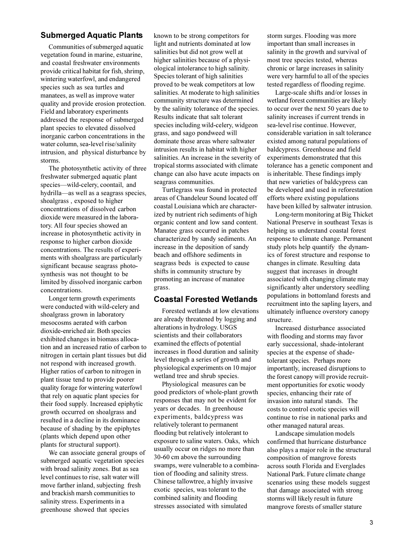### **Submerged Aquatic Plants**

Communities of submerged aquatic vegetation found in marine, estuarine, and coastal freshwater environments provide critical habitat for fish, shrimp, wintering waterfowl, and endangered species such as sea turtles and manatees, as well as improve water quality and provide erosion protection. Field and laboratory experiments addressed the response of submerged plant species to elevated dissolved inorganic carbon concentrations in the water column, sea-level rise/salinity intrusion, and physical disturbance by storms.

The photosynthetic activity of three freshwater submerged aquatic plant species-wild-celery, coontail, and hydrilla—as well as a seagrass species, shoalgrass , exposed to higher concentrations of dissolved carbon dioxide were measured in the laboratory. All four species showed an increase in photosynthetic activity in response to higher carbon dioxide concentrations. The results of experiments with shoalgrass are particularly significant because seagrass photosynthesis was not thought to be limited by dissolved inorganic carbon concentrations.

Longer term growth experiments were conducted with wild-celery and shoalgrass grown in laboratory mesocosms aerated with carbon dioxide-enriched air. Both species exhibited changes in biomass allocation and an increased ratio of carbon to nitrogen in certain plant tissues but did not respond with increased growth. Higher ratios of carbon to nitrogen in plant tissue tend to provide poorer quality forage for wintering waterfowl that rely on aquatic plant species for their food supply. Increased epiphytic growth occurred on shoalgrass and resulted in a decline in its dominance because of shading by the epiphytes (plants which depend upon other plants for structural support).

We can associate general groups of submerged aquatic vegetation species with broad salinity zones. But as sea level continues to rise, salt water will move farther inland, subjecting fresh and brackish marsh communities to salinity stress. Experiments in a greenhouse showed that species

known to be strong competitors for light and nutrients dominated at low salinities but did not grow well at higher salinities because of a physiological intolerance to high salinity. Species tolerant of high salinities proved to be weak competitors at low salinities. At moderate to high salinities community structure was determined by the salinity tolerance of the species. Results indicate that salt tolerant species including wild-celery, widgeon grass, and sago pondweed will dominate those areas where saltwater intrusion results in habitat with higher salinities. An increase in the severity of tropical storms associated with climate change can also have acute impacts on seagrass communities.

Turtlegrass was found in protected areas of Chandeleur Sound located off coastal Louisiana which are characterized by nutrient rich sediments of high organic content and low sand content. Manatee grass occurred in patches characterized by sandy sediments. An increase in the deposition of sandy beach and offshore sediments in seagrass beds is expected to cause shifts in community structure by promoting an increase of manatee grass.

#### **Coastal Forested Wetlands**

Forested wetlands at low elevations are already threatened by logging and alterations in hydrology. USGS scientists and their collaborators examined the effects of potential increases in flood duration and salinity level through a series of growth and physiological experiments on 10 major wetland tree and shrub species.

Physiological measures can be good predictors of whole-plant growth responses that may not be evident for years or decades. In greenhouse experiments, baldcypress was relatively tolerant to permanent flooding but relatively intolerant to exposure to saline waters. Oaks, which usually occur on ridges no more than 30-60 cm above the surrounding swamps, were vulnerable to a combination of flooding and salinity stress. Chinese tallowtree, a highly invasive exotic species, was tolerant to the combined salinity and flooding stresses associated with simulated

storm surges. Flooding was more important than small increases in salinity in the growth and survival of most tree species tested, whereas chronic or large increases in salinity were very harmful to all of the species tested regardless of flooding regime.

Large-scale shifts and/or losses in wetland forest communities are likely to occur over the next 50 years due to salinity increases if current trends in sea-level rise continue. However, considerable variation in salt tolerance existed among natural populations of baldcypress. Greenhouse and field experiments demonstrated that this tolerance has a genetic component and is inheritable. These findings imply that new varieties of baldcypress can be developed and used in reforestation efforts where existing populations have been killed by saltwater intrusion.

Long-term monitoring at Big Thicket National Preserve in southeast Texas is helping us understand coastal forest response to climate change. Permanent study plots help quantify the dynamics of forest structure and response to changes in climate. Resulting data suggest that increases in drought associated with changing climate may significantly alter understory seedling populations in bottomland forests and recruitment into the sapling layers, and ultimately influence overstory canopy structure.

Increased disturbance associated with flooding and storms may favor early successional, shade-intolerant species at the expense of shadetolerant species. Perhaps more importantly, increased disruptions to the forest canopy will provide recruitment opportunities for exotic woody species, enhancing their rate of invasion into natural stands. The costs to control exotic species will continue to rise in national parks and other managed natural areas.

Landscape simulation models confirmed that hurricane disturbance also plays a major role in the structural composition of mangrove forests across south Florida and Everglades National Park. Future climate change scenarios using these models suggest that damage associated with strong storms will likely result in future mangrove forests of smaller stature